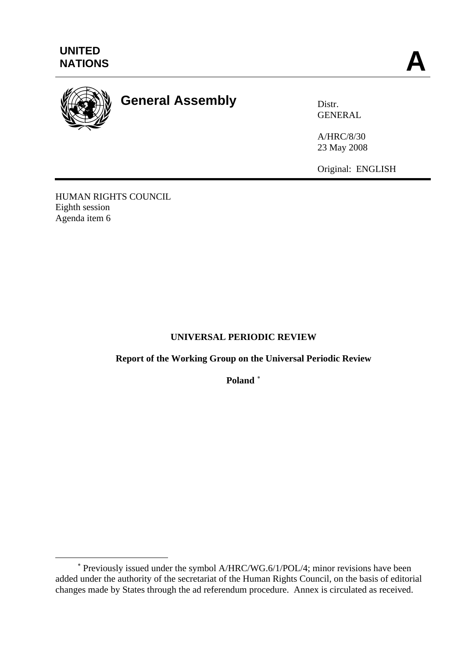

 $\overline{a}$ 

# **General Assembly** Distr.

GENERAL

A/HRC/8/30 23 May 2008

Original: ENGLISH

HUMAN RIGHTS COUNCIL Eighth session Agenda item 6

# **UNIVERSAL PERIODIC REVIEW**

# **Report of the Working Group on the Universal Periodic Review**

**Poland** [∗](#page-0-0)

<span id="page-0-0"></span><sup>∗</sup> Previously issued under the symbol A/HRC/WG.6/1/POL/4; minor revisions have been added under the authority of the secretariat of the Human Rights Council, on the basis of editorial changes made by States through the ad referendum procedure. Annex is circulated as received.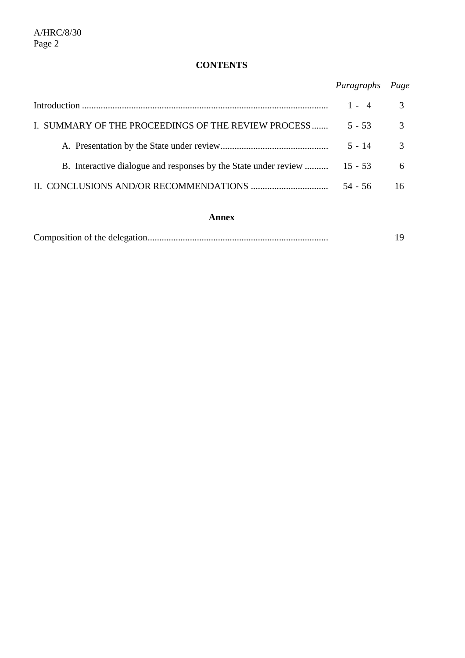# **CONTENTS**

*Paragraphs Page* 

|                                                                          |           | $\mathcal{R}$<br>$1 - 4$ |
|--------------------------------------------------------------------------|-----------|--------------------------|
| I. SUMMARY OF THE PROCEEDINGS OF THE REVIEW PROCESS                      | $5 - 53$  | $\mathcal{E}$            |
|                                                                          | $5 - 14$  |                          |
| B. Interactive dialogue and responses by the State under review  15 - 53 |           | 6                        |
|                                                                          | $54 - 56$ |                          |

## **Annex**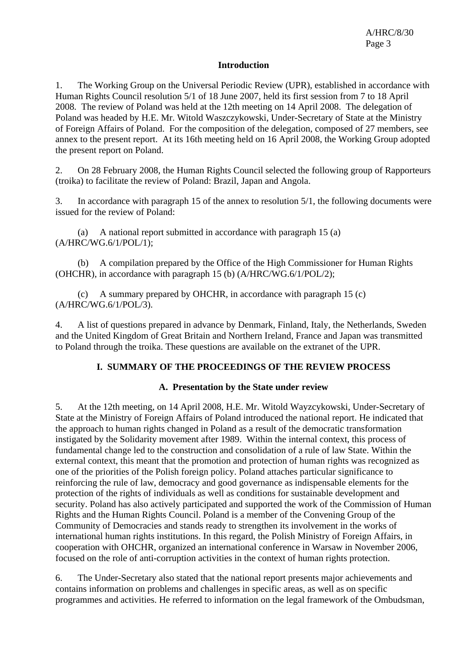#### **Introduction**

1. The Working Group on the Universal Periodic Review (UPR), established in accordance with Human Rights Council resolution 5/1 of 18 June 2007, held its first session from 7 to 18 April 2008. The review of Poland was held at the 12th meeting on 14 April 2008. The delegation of Poland was headed by H.E. Mr. Witold Waszczykowski, Under-Secretary of State at the Ministry of Foreign Affairs of Poland. For the composition of the delegation, composed of 27 members, see annex to the present report. At its 16th meeting held on 16 April 2008, the Working Group adopted the present report on Poland.

2. On 28 February 2008, the Human Rights Council selected the following group of Rapporteurs (troika) to facilitate the review of Poland: Brazil, Japan and Angola.

3. In accordance with paragraph 15 of the annex to resolution 5/1, the following documents were issued for the review of Poland:

 (a) A national report submitted in accordance with paragraph 15 (a) (A/HRC/WG.6/1/POL/1);

 (b) A compilation prepared by the Office of the High Commissioner for Human Rights (OHCHR), in accordance with paragraph 15 (b) (A/HRC/WG.6/1/POL/2);

 (c) A summary prepared by OHCHR, in accordance with paragraph 15 (c) (A/HRC/WG.6/1/POL/3).

4. A list of questions prepared in advance by Denmark, Finland, Italy, the Netherlands, Sweden and the United Kingdom of Great Britain and Northern Ireland, France and Japan was transmitted to Poland through the troika. These questions are available on the extranet of the UPR.

#### **I. SUMMARY OF THE PROCEEDINGS OF THE REVIEW PROCESS**

## **A. Presentation by the State under review**

5. At the 12th meeting, on 14 April 2008, H.E. Mr. Witold Wayzcykowski, Under-Secretary of State at the Ministry of Foreign Affairs of Poland introduced the national report. He indicated that the approach to human rights changed in Poland as a result of the democratic transformation instigated by the Solidarity movement after 1989. Within the internal context, this process of fundamental change led to the construction and consolidation of a rule of law State. Within the external context, this meant that the promotion and protection of human rights was recognized as one of the priorities of the Polish foreign policy. Poland attaches particular significance to reinforcing the rule of law, democracy and good governance as indispensable elements for the protection of the rights of individuals as well as conditions for sustainable development and security. Poland has also actively participated and supported the work of the Commission of Human Rights and the Human Rights Council. Poland is a member of the Convening Group of the Community of Democracies and stands ready to strengthen its involvement in the works of international human rights institutions. In this regard, the Polish Ministry of Foreign Affairs, in cooperation with OHCHR, organized an international conference in Warsaw in November 2006, focused on the role of anti-corruption activities in the context of human rights protection.

6. The Under-Secretary also stated that the national report presents major achievements and contains information on problems and challenges in specific areas, as well as on specific programmes and activities. He referred to information on the legal framework of the Ombudsman,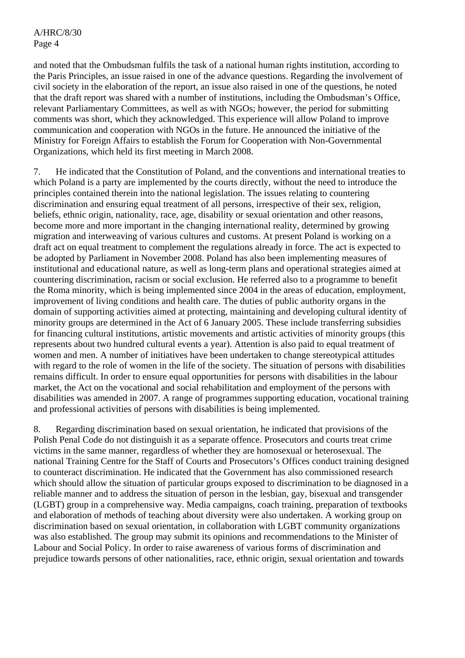and noted that the Ombudsman fulfils the task of a national human rights institution, according to the Paris Principles, an issue raised in one of the advance questions. Regarding the involvement of civil society in the elaboration of the report, an issue also raised in one of the questions, he noted that the draft report was shared with a number of institutions, including the Ombudsman's Office, relevant Parliamentary Committees, as well as with NGOs; however, the period for submitting comments was short, which they acknowledged. This experience will allow Poland to improve communication and cooperation with NGOs in the future. He announced the initiative of the Ministry for Foreign Affairs to establish the Forum for Cooperation with Non-Governmental Organizations, which held its first meeting in March 2008.

7. He indicated that the Constitution of Poland, and the conventions and international treaties to which Poland is a party are implemented by the courts directly, without the need to introduce the principles contained therein into the national legislation. The issues relating to countering discrimination and ensuring equal treatment of all persons, irrespective of their sex, religion, beliefs, ethnic origin, nationality, race, age, disability or sexual orientation and other reasons, become more and more important in the changing international reality, determined by growing migration and interweaving of various cultures and customs. At present Poland is working on a draft act on equal treatment to complement the regulations already in force. The act is expected to be adopted by Parliament in November 2008. Poland has also been implementing measures of institutional and educational nature, as well as long-term plans and operational strategies aimed at countering discrimination, racism or social exclusion. He referred also to a programme to benefit the Roma minority, which is being implemented since 2004 in the areas of education, employment, improvement of living conditions and health care. The duties of public authority organs in the domain of supporting activities aimed at protecting, maintaining and developing cultural identity of minority groups are determined in the Act of 6 January 2005. These include transferring subsidies for financing cultural institutions, artistic movements and artistic activities of minority groups (this represents about two hundred cultural events a year). Attention is also paid to equal treatment of women and men. A number of initiatives have been undertaken to change stereotypical attitudes with regard to the role of women in the life of the society. The situation of persons with disabilities remains difficult. In order to ensure equal opportunities for persons with disabilities in the labour market, the Act on the vocational and social rehabilitation and employment of the persons with disabilities was amended in 2007. A range of programmes supporting education, vocational training and professional activities of persons with disabilities is being implemented.

8. Regarding discrimination based on sexual orientation, he indicated that provisions of the Polish Penal Code do not distinguish it as a separate offence. Prosecutors and courts treat crime victims in the same manner, regardless of whether they are homosexual or heterosexual. The national Training Centre for the Staff of Courts and Prosecutors's Offices conduct training designed to counteract discrimination. He indicated that the Government has also commissioned research which should allow the situation of particular groups exposed to discrimination to be diagnosed in a reliable manner and to address the situation of person in the lesbian, gay, bisexual and transgender (LGBT) group in a comprehensive way. Media campaigns, coach training, preparation of textbooks and elaboration of methods of teaching about diversity were also undertaken. A working group on discrimination based on sexual orientation, in collaboration with LGBT community organizations was also established. The group may submit its opinions and recommendations to the Minister of Labour and Social Policy. In order to raise awareness of various forms of discrimination and prejudice towards persons of other nationalities, race, ethnic origin, sexual orientation and towards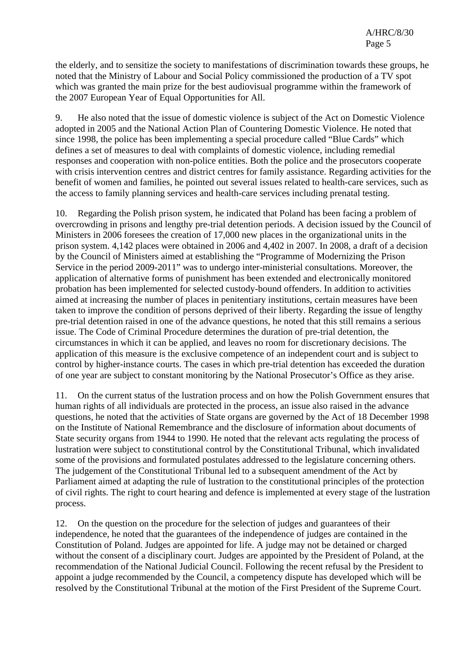the elderly, and to sensitize the society to manifestations of discrimination towards these groups, he noted that the Ministry of Labour and Social Policy commissioned the production of a TV spot which was granted the main prize for the best audiovisual programme within the framework of the 2007 European Year of Equal Opportunities for All.

9. He also noted that the issue of domestic violence is subject of the Act on Domestic Violence adopted in 2005 and the National Action Plan of Countering Domestic Violence. He noted that since 1998, the police has been implementing a special procedure called "Blue Cards" which defines a set of measures to deal with complaints of domestic violence, including remedial responses and cooperation with non-police entities. Both the police and the prosecutors cooperate with crisis intervention centres and district centres for family assistance. Regarding activities for the benefit of women and families, he pointed out several issues related to health-care services, such as the access to family planning services and health-care services including prenatal testing.

10. Regarding the Polish prison system, he indicated that Poland has been facing a problem of overcrowding in prisons and lengthy pre-trial detention periods. A decision issued by the Council of Ministers in 2006 foresees the creation of 17,000 new places in the organizational units in the prison system. 4,142 places were obtained in 2006 and 4,402 in 2007. In 2008, a draft of a decision by the Council of Ministers aimed at establishing the "Programme of Modernizing the Prison Service in the period 2009-2011" was to undergo inter-ministerial consultations. Moreover, the application of alternative forms of punishment has been extended and electronically monitored probation has been implemented for selected custody-bound offenders. In addition to activities aimed at increasing the number of places in penitentiary institutions, certain measures have been taken to improve the condition of persons deprived of their liberty. Regarding the issue of lengthy pre-trial detention raised in one of the advance questions, he noted that this still remains a serious issue. The Code of Criminal Procedure determines the duration of pre-trial detention, the circumstances in which it can be applied, and leaves no room for discretionary decisions. The application of this measure is the exclusive competence of an independent court and is subject to control by higher-instance courts. The cases in which pre-trial detention has exceeded the duration of one year are subject to constant monitoring by the National Prosecutor's Office as they arise.

11. On the current status of the lustration process and on how the Polish Government ensures that human rights of all individuals are protected in the process, an issue also raised in the advance questions, he noted that the activities of State organs are governed by the Act of 18 December 1998 on the Institute of National Remembrance and the disclosure of information about documents of State security organs from 1944 to 1990. He noted that the relevant acts regulating the process of lustration were subject to constitutional control by the Constitutional Tribunal, which invalidated some of the provisions and formulated postulates addressed to the legislature concerning others. The judgement of the Constitutional Tribunal led to a subsequent amendment of the Act by Parliament aimed at adapting the rule of lustration to the constitutional principles of the protection of civil rights. The right to court hearing and defence is implemented at every stage of the lustration process.

12. On the question on the procedure for the selection of judges and guarantees of their independence, he noted that the guarantees of the independence of judges are contained in the Constitution of Poland. Judges are appointed for life. A judge may not be detained or charged without the consent of a disciplinary court. Judges are appointed by the President of Poland, at the recommendation of the National Judicial Council. Following the recent refusal by the President to appoint a judge recommended by the Council, a competency dispute has developed which will be resolved by the Constitutional Tribunal at the motion of the First President of the Supreme Court.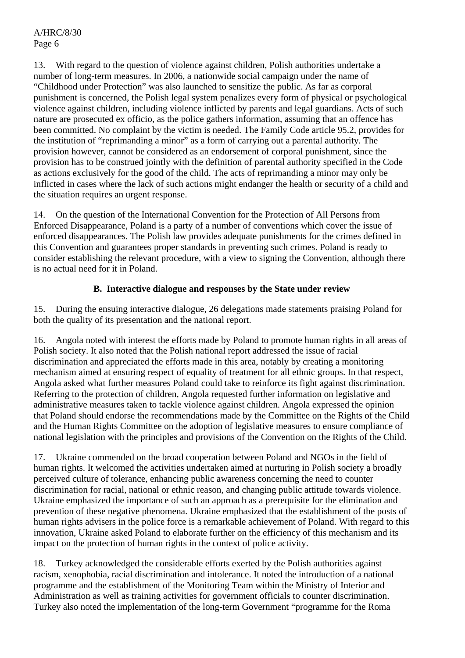13. With regard to the question of violence against children, Polish authorities undertake a number of long-term measures. In 2006, a nationwide social campaign under the name of "Childhood under Protection" was also launched to sensitize the public. As far as corporal punishment is concerned, the Polish legal system penalizes every form of physical or psychological violence against children, including violence inflicted by parents and legal guardians. Acts of such nature are prosecuted ex officio, as the police gathers information, assuming that an offence has been committed. No complaint by the victim is needed. The Family Code article 95.2, provides for the institution of "reprimanding a minor" as a form of carrying out a parental authority. The provision however, cannot be considered as an endorsement of corporal punishment, since the provision has to be construed jointly with the definition of parental authority specified in the Code as actions exclusively for the good of the child. The acts of reprimanding a minor may only be inflicted in cases where the lack of such actions might endanger the health or security of a child and the situation requires an urgent response.

14. On the question of the International Convention for the Protection of All Persons from Enforced Disappearance, Poland is a party of a number of conventions which cover the issue of enforced disappearances. The Polish law provides adequate punishments for the crimes defined in this Convention and guarantees proper standards in preventing such crimes. Poland is ready to consider establishing the relevant procedure, with a view to signing the Convention, although there is no actual need for it in Poland.

## **B. Interactive dialogue and responses by the State under review**

15. During the ensuing interactive dialogue, 26 delegations made statements praising Poland for both the quality of its presentation and the national report.

16. Angola noted with interest the efforts made by Poland to promote human rights in all areas of Polish society. It also noted that the Polish national report addressed the issue of racial discrimination and appreciated the efforts made in this area, notably by creating a monitoring mechanism aimed at ensuring respect of equality of treatment for all ethnic groups. In that respect, Angola asked what further measures Poland could take to reinforce its fight against discrimination. Referring to the protection of children, Angola requested further information on legislative and administrative measures taken to tackle violence against children. Angola expressed the opinion that Poland should endorse the recommendations made by the Committee on the Rights of the Child and the Human Rights Committee on the adoption of legislative measures to ensure compliance of national legislation with the principles and provisions of the Convention on the Rights of the Child.

17. Ukraine commended on the broad cooperation between Poland and NGOs in the field of human rights. It welcomed the activities undertaken aimed at nurturing in Polish society a broadly perceived culture of tolerance, enhancing public awareness concerning the need to counter discrimination for racial, national or ethnic reason, and changing public attitude towards violence. Ukraine emphasized the importance of such an approach as a prerequisite for the elimination and prevention of these negative phenomena. Ukraine emphasized that the establishment of the posts of human rights advisers in the police force is a remarkable achievement of Poland. With regard to this innovation, Ukraine asked Poland to elaborate further on the efficiency of this mechanism and its impact on the protection of human rights in the context of police activity.

18. Turkey acknowledged the considerable efforts exerted by the Polish authorities against racism, xenophobia, racial discrimination and intolerance. It noted the introduction of a national programme and the establishment of the Monitoring Team within the Ministry of Interior and Administration as well as training activities for government officials to counter discrimination. Turkey also noted the implementation of the long-term Government "programme for the Roma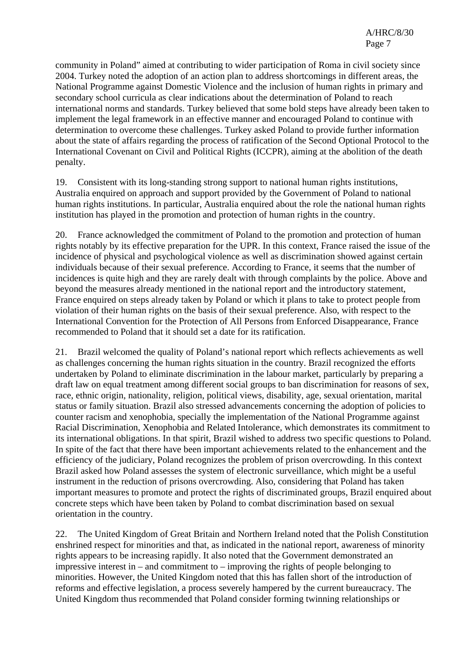community in Poland" aimed at contributing to wider participation of Roma in civil society since 2004. Turkey noted the adoption of an action plan to address shortcomings in different areas, the National Programme against Domestic Violence and the inclusion of human rights in primary and secondary school curricula as clear indications about the determination of Poland to reach international norms and standards. Turkey believed that some bold steps have already been taken to implement the legal framework in an effective manner and encouraged Poland to continue with determination to overcome these challenges. Turkey asked Poland to provide further information about the state of affairs regarding the process of ratification of the Second Optional Protocol to the International Covenant on Civil and Political Rights (ICCPR), aiming at the abolition of the death penalty.

19. Consistent with its long-standing strong support to national human rights institutions, Australia enquired on approach and support provided by the Government of Poland to national human rights institutions. In particular, Australia enquired about the role the national human rights institution has played in the promotion and protection of human rights in the country.

20. France acknowledged the commitment of Poland to the promotion and protection of human rights notably by its effective preparation for the UPR. In this context, France raised the issue of the incidence of physical and psychological violence as well as discrimination showed against certain individuals because of their sexual preference. According to France, it seems that the number of incidences is quite high and they are rarely dealt with through complaints by the police. Above and beyond the measures already mentioned in the national report and the introductory statement, France enquired on steps already taken by Poland or which it plans to take to protect people from violation of their human rights on the basis of their sexual preference. Also, with respect to the International Convention for the Protection of All Persons from Enforced Disappearance, France recommended to Poland that it should set a date for its ratification.

21. Brazil welcomed the quality of Poland's national report which reflects achievements as well as challenges concerning the human rights situation in the country. Brazil recognized the efforts undertaken by Poland to eliminate discrimination in the labour market, particularly by preparing a draft law on equal treatment among different social groups to ban discrimination for reasons of sex, race, ethnic origin, nationality, religion, political views, disability, age, sexual orientation, marital status or family situation. Brazil also stressed advancements concerning the adoption of policies to counter racism and xenophobia, specially the implementation of the National Programme against Racial Discrimination, Xenophobia and Related Intolerance, which demonstrates its commitment to its international obligations. In that spirit, Brazil wished to address two specific questions to Poland. In spite of the fact that there have been important achievements related to the enhancement and the efficiency of the judiciary, Poland recognizes the problem of prison overcrowding. In this context Brazil asked how Poland assesses the system of electronic surveillance, which might be a useful instrument in the reduction of prisons overcrowding. Also, considering that Poland has taken important measures to promote and protect the rights of discriminated groups, Brazil enquired about concrete steps which have been taken by Poland to combat discrimination based on sexual orientation in the country.

22. The United Kingdom of Great Britain and Northern Ireland noted that the Polish Constitution enshrined respect for minorities and that, as indicated in the national report, awareness of minority rights appears to be increasing rapidly. It also noted that the Government demonstrated an impressive interest in – and commitment to – improving the rights of people belonging to minorities. However, the United Kingdom noted that this has fallen short of the introduction of reforms and effective legislation, a process severely hampered by the current bureaucracy. The United Kingdom thus recommended that Poland consider forming twinning relationships or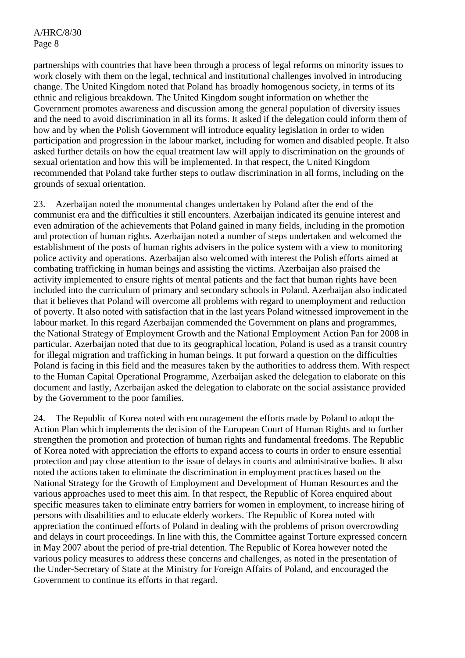partnerships with countries that have been through a process of legal reforms on minority issues to work closely with them on the legal, technical and institutional challenges involved in introducing change. The United Kingdom noted that Poland has broadly homogenous society, in terms of its ethnic and religious breakdown. The United Kingdom sought information on whether the Government promotes awareness and discussion among the general population of diversity issues and the need to avoid discrimination in all its forms. It asked if the delegation could inform them of how and by when the Polish Government will introduce equality legislation in order to widen participation and progression in the labour market, including for women and disabled people. It also asked further details on how the equal treatment law will apply to discrimination on the grounds of sexual orientation and how this will be implemented. In that respect, the United Kingdom recommended that Poland take further steps to outlaw discrimination in all forms, including on the grounds of sexual orientation.

23. Azerbaijan noted the monumental changes undertaken by Poland after the end of the communist era and the difficulties it still encounters. Azerbaijan indicated its genuine interest and even admiration of the achievements that Poland gained in many fields, including in the promotion and protection of human rights. Azerbaijan noted a number of steps undertaken and welcomed the establishment of the posts of human rights advisers in the police system with a view to monitoring police activity and operations. Azerbaijan also welcomed with interest the Polish efforts aimed at combating trafficking in human beings and assisting the victims. Azerbaijan also praised the activity implemented to ensure rights of mental patients and the fact that human rights have been included into the curriculum of primary and secondary schools in Poland. Azerbaijan also indicated that it believes that Poland will overcome all problems with regard to unemployment and reduction of poverty. It also noted with satisfaction that in the last years Poland witnessed improvement in the labour market. In this regard Azerbaijan commended the Government on plans and programmes, the National Strategy of Employment Growth and the National Employment Action Pan for 2008 in particular. Azerbaijan noted that due to its geographical location, Poland is used as a transit country for illegal migration and trafficking in human beings. It put forward a question on the difficulties Poland is facing in this field and the measures taken by the authorities to address them. With respect to the Human Capital Operational Programme, Azerbaijan asked the delegation to elaborate on this document and lastly, Azerbaijan asked the delegation to elaborate on the social assistance provided by the Government to the poor families.

24. The Republic of Korea noted with encouragement the efforts made by Poland to adopt the Action Plan which implements the decision of the European Court of Human Rights and to further strengthen the promotion and protection of human rights and fundamental freedoms. The Republic of Korea noted with appreciation the efforts to expand access to courts in order to ensure essential protection and pay close attention to the issue of delays in courts and administrative bodies. It also noted the actions taken to eliminate the discrimination in employment practices based on the National Strategy for the Growth of Employment and Development of Human Resources and the various approaches used to meet this aim. In that respect, the Republic of Korea enquired about specific measures taken to eliminate entry barriers for women in employment, to increase hiring of persons with disabilities and to educate elderly workers. The Republic of Korea noted with appreciation the continued efforts of Poland in dealing with the problems of prison overcrowding and delays in court proceedings. In line with this, the Committee against Torture expressed concern in May 2007 about the period of pre-trial detention. The Republic of Korea however noted the various policy measures to address these concerns and challenges, as noted in the presentation of the Under-Secretary of State at the Ministry for Foreign Affairs of Poland, and encouraged the Government to continue its efforts in that regard.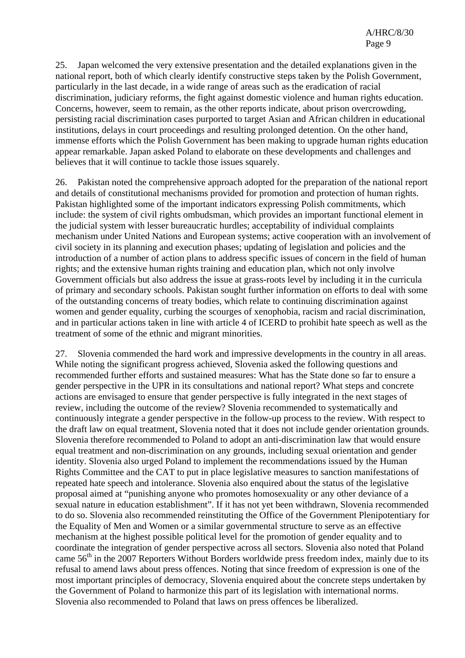25. Japan welcomed the very extensive presentation and the detailed explanations given in the national report, both of which clearly identify constructive steps taken by the Polish Government, particularly in the last decade, in a wide range of areas such as the eradication of racial discrimination, judiciary reforms, the fight against domestic violence and human rights education. Concerns, however, seem to remain, as the other reports indicate, about prison overcrowding, persisting racial discrimination cases purported to target Asian and African children in educational institutions, delays in court proceedings and resulting prolonged detention. On the other hand, immense efforts which the Polish Government has been making to upgrade human rights education appear remarkable. Japan asked Poland to elaborate on these developments and challenges and believes that it will continue to tackle those issues squarely.

26. Pakistan noted the comprehensive approach adopted for the preparation of the national report and details of constitutional mechanisms provided for promotion and protection of human rights. Pakistan highlighted some of the important indicators expressing Polish commitments, which include: the system of civil rights ombudsman, which provides an important functional element in the judicial system with lesser bureaucratic hurdles; acceptability of individual complaints mechanism under United Nations and European systems; active cooperation with an involvement of civil society in its planning and execution phases; updating of legislation and policies and the introduction of a number of action plans to address specific issues of concern in the field of human rights; and the extensive human rights training and education plan, which not only involve Government officials but also address the issue at grass-roots level by including it in the curricula of primary and secondary schools. Pakistan sought further information on efforts to deal with some of the outstanding concerns of treaty bodies, which relate to continuing discrimination against women and gender equality, curbing the scourges of xenophobia, racism and racial discrimination, and in particular actions taken in line with article 4 of ICERD to prohibit hate speech as well as the treatment of some of the ethnic and migrant minorities.

27. Slovenia commended the hard work and impressive developments in the country in all areas. While noting the significant progress achieved, Slovenia asked the following questions and recommended further efforts and sustained measures: What has the State done so far to ensure a gender perspective in the UPR in its consultations and national report? What steps and concrete actions are envisaged to ensure that gender perspective is fully integrated in the next stages of review, including the outcome of the review? Slovenia recommended to systematically and continuously integrate a gender perspective in the follow-up process to the review. With respect to the draft law on equal treatment, Slovenia noted that it does not include gender orientation grounds. Slovenia therefore recommended to Poland to adopt an anti-discrimination law that would ensure equal treatment and non-discrimination on any grounds, including sexual orientation and gender identity. Slovenia also urged Poland to implement the recommendations issued by the Human Rights Committee and the CAT to put in place legislative measures to sanction manifestations of repeated hate speech and intolerance. Slovenia also enquired about the status of the legislative proposal aimed at "punishing anyone who promotes homosexuality or any other deviance of a sexual nature in education establishment". If it has not yet been withdrawn, Slovenia recommended to do so. Slovenia also recommended reinstituting the Office of the Government Plenipotentiary for the Equality of Men and Women or a similar governmental structure to serve as an effective mechanism at the highest possible political level for the promotion of gender equality and to coordinate the integration of gender perspective across all sectors. Slovenia also noted that Poland came  $56<sup>th</sup>$  in the 2007 Reporters Without Borders worldwide press freedom index, mainly due to its refusal to amend laws about press offences. Noting that since freedom of expression is one of the most important principles of democracy, Slovenia enquired about the concrete steps undertaken by the Government of Poland to harmonize this part of its legislation with international norms. Slovenia also recommended to Poland that laws on press offences be liberalized.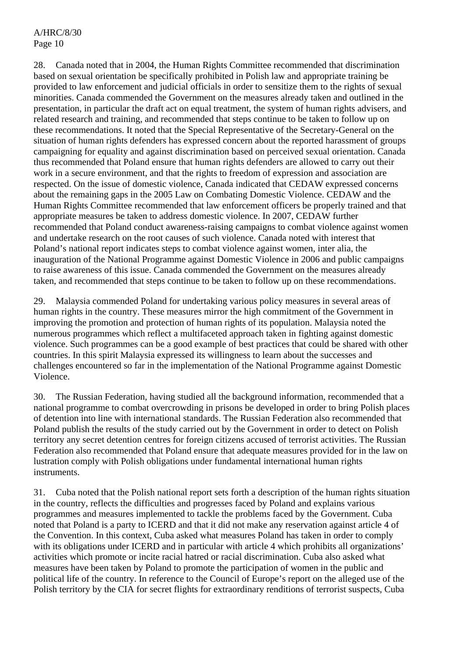28. Canada noted that in 2004, the Human Rights Committee recommended that discrimination based on sexual orientation be specifically prohibited in Polish law and appropriate training be provided to law enforcement and judicial officials in order to sensitize them to the rights of sexual minorities. Canada commended the Government on the measures already taken and outlined in the presentation, in particular the draft act on equal treatment, the system of human rights advisers, and related research and training, and recommended that steps continue to be taken to follow up on these recommendations. It noted that the Special Representative of the Secretary-General on the situation of human rights defenders has expressed concern about the reported harassment of groups campaigning for equality and against discrimination based on perceived sexual orientation. Canada thus recommended that Poland ensure that human rights defenders are allowed to carry out their work in a secure environment, and that the rights to freedom of expression and association are respected. On the issue of domestic violence, Canada indicated that CEDAW expressed concerns about the remaining gaps in the 2005 Law on Combating Domestic Violence. CEDAW and the Human Rights Committee recommended that law enforcement officers be properly trained and that appropriate measures be taken to address domestic violence. In 2007, CEDAW further recommended that Poland conduct awareness-raising campaigns to combat violence against women and undertake research on the root causes of such violence. Canada noted with interest that Poland's national report indicates steps to combat violence against women, inter alia, the inauguration of the National Programme against Domestic Violence in 2006 and public campaigns to raise awareness of this issue. Canada commended the Government on the measures already taken, and recommended that steps continue to be taken to follow up on these recommendations.

29. Malaysia commended Poland for undertaking various policy measures in several areas of human rights in the country. These measures mirror the high commitment of the Government in improving the promotion and protection of human rights of its population. Malaysia noted the numerous programmes which reflect a multifaceted approach taken in fighting against domestic violence. Such programmes can be a good example of best practices that could be shared with other countries. In this spirit Malaysia expressed its willingness to learn about the successes and challenges encountered so far in the implementation of the National Programme against Domestic Violence.

30. The Russian Federation, having studied all the background information, recommended that a national programme to combat overcrowding in prisons be developed in order to bring Polish places of detention into line with international standards. The Russian Federation also recommended that Poland publish the results of the study carried out by the Government in order to detect on Polish territory any secret detention centres for foreign citizens accused of terrorist activities. The Russian Federation also recommended that Poland ensure that adequate measures provided for in the law on lustration comply with Polish obligations under fundamental international human rights instruments.

31. Cuba noted that the Polish national report sets forth a description of the human rights situation in the country, reflects the difficulties and progresses faced by Poland and explains various programmes and measures implemented to tackle the problems faced by the Government. Cuba noted that Poland is a party to ICERD and that it did not make any reservation against article 4 of the Convention. In this context, Cuba asked what measures Poland has taken in order to comply with its obligations under ICERD and in particular with article 4 which prohibits all organizations' activities which promote or incite racial hatred or racial discrimination. Cuba also asked what measures have been taken by Poland to promote the participation of women in the public and political life of the country. In reference to the Council of Europe's report on the alleged use of the Polish territory by the CIA for secret flights for extraordinary renditions of terrorist suspects, Cuba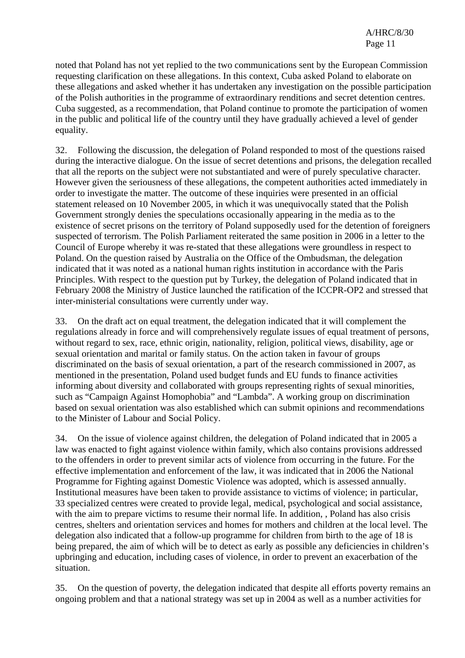noted that Poland has not yet replied to the two communications sent by the European Commission requesting clarification on these allegations. In this context, Cuba asked Poland to elaborate on these allegations and asked whether it has undertaken any investigation on the possible participation of the Polish authorities in the programme of extraordinary renditions and secret detention centres. Cuba suggested, as a recommendation, that Poland continue to promote the participation of women in the public and political life of the country until they have gradually achieved a level of gender equality.

32. Following the discussion, the delegation of Poland responded to most of the questions raised during the interactive dialogue. On the issue of secret detentions and prisons, the delegation recalled that all the reports on the subject were not substantiated and were of purely speculative character. However given the seriousness of these allegations, the competent authorities acted immediately in order to investigate the matter. The outcome of these inquiries were presented in an official statement released on 10 November 2005, in which it was unequivocally stated that the Polish Government strongly denies the speculations occasionally appearing in the media as to the existence of secret prisons on the territory of Poland supposedly used for the detention of foreigners suspected of terrorism. The Polish Parliament reiterated the same position in 2006 in a letter to the Council of Europe whereby it was re-stated that these allegations were groundless in respect to Poland. On the question raised by Australia on the Office of the Ombudsman, the delegation indicated that it was noted as a national human rights institution in accordance with the Paris Principles. With respect to the question put by Turkey, the delegation of Poland indicated that in February 2008 the Ministry of Justice launched the ratification of the ICCPR-OP2 and stressed that inter-ministerial consultations were currently under way.

33. On the draft act on equal treatment, the delegation indicated that it will complement the regulations already in force and will comprehensively regulate issues of equal treatment of persons, without regard to sex, race, ethnic origin, nationality, religion, political views, disability, age or sexual orientation and marital or family status. On the action taken in favour of groups discriminated on the basis of sexual orientation, a part of the research commissioned in 2007, as mentioned in the presentation, Poland used budget funds and EU funds to finance activities informing about diversity and collaborated with groups representing rights of sexual minorities, such as "Campaign Against Homophobia" and "Lambda". A working group on discrimination based on sexual orientation was also established which can submit opinions and recommendations to the Minister of Labour and Social Policy.

34. On the issue of violence against children, the delegation of Poland indicated that in 2005 a law was enacted to fight against violence within family, which also contains provisions addressed to the offenders in order to prevent similar acts of violence from occurring in the future. For the effective implementation and enforcement of the law, it was indicated that in 2006 the National Programme for Fighting against Domestic Violence was adopted, which is assessed annually. Institutional measures have been taken to provide assistance to victims of violence; in particular, 33 specialized centres were created to provide legal, medical, psychological and social assistance, with the aim to prepare victims to resume their normal life. In addition, , Poland has also crisis centres, shelters and orientation services and homes for mothers and children at the local level. The delegation also indicated that a follow-up programme for children from birth to the age of 18 is being prepared, the aim of which will be to detect as early as possible any deficiencies in children's upbringing and education, including cases of violence, in order to prevent an exacerbation of the situation.

35. On the question of poverty, the delegation indicated that despite all efforts poverty remains an ongoing problem and that a national strategy was set up in 2004 as well as a number activities for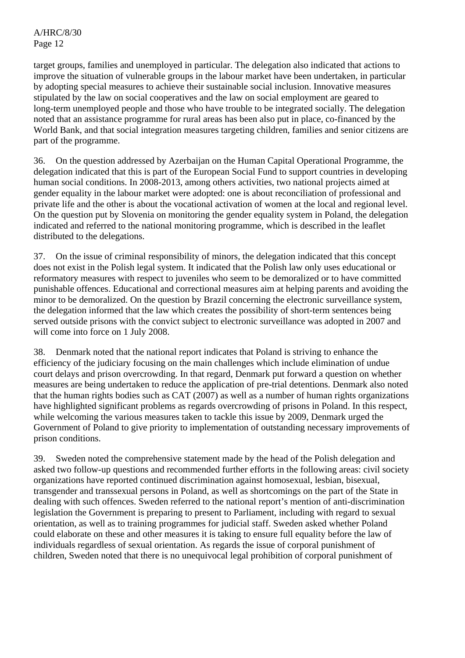A/HRC/8/30 Page 12

target groups, families and unemployed in particular. The delegation also indicated that actions to improve the situation of vulnerable groups in the labour market have been undertaken, in particular by adopting special measures to achieve their sustainable social inclusion. Innovative measures stipulated by the law on social cooperatives and the law on social employment are geared to long-term unemployed people and those who have trouble to be integrated socially. The delegation noted that an assistance programme for rural areas has been also put in place, co-financed by the World Bank, and that social integration measures targeting children, families and senior citizens are part of the programme.

36. On the question addressed by Azerbaijan on the Human Capital Operational Programme, the delegation indicated that this is part of the European Social Fund to support countries in developing human social conditions. In 2008-2013, among others activities, two national projects aimed at gender equality in the labour market were adopted: one is about reconciliation of professional and private life and the other is about the vocational activation of women at the local and regional level. On the question put by Slovenia on monitoring the gender equality system in Poland, the delegation indicated and referred to the national monitoring programme, which is described in the leaflet distributed to the delegations.

37. On the issue of criminal responsibility of minors, the delegation indicated that this concept does not exist in the Polish legal system. It indicated that the Polish law only uses educational or reformatory measures with respect to juveniles who seem to be demoralized or to have committed punishable offences. Educational and correctional measures aim at helping parents and avoiding the minor to be demoralized. On the question by Brazil concerning the electronic surveillance system, the delegation informed that the law which creates the possibility of short-term sentences being served outside prisons with the convict subject to electronic surveillance was adopted in 2007 and will come into force on 1 July 2008.

38. Denmark noted that the national report indicates that Poland is striving to enhance the efficiency of the judiciary focusing on the main challenges which include elimination of undue court delays and prison overcrowding. In that regard, Denmark put forward a question on whether measures are being undertaken to reduce the application of pre-trial detentions. Denmark also noted that the human rights bodies such as CAT (2007) as well as a number of human rights organizations have highlighted significant problems as regards overcrowding of prisons in Poland. In this respect, while welcoming the various measures taken to tackle this issue by 2009, Denmark urged the Government of Poland to give priority to implementation of outstanding necessary improvements of prison conditions.

39. Sweden noted the comprehensive statement made by the head of the Polish delegation and asked two follow-up questions and recommended further efforts in the following areas: civil society organizations have reported continued discrimination against homosexual, lesbian, bisexual, transgender and transsexual persons in Poland, as well as shortcomings on the part of the State in dealing with such offences. Sweden referred to the national report's mention of anti-discrimination legislation the Government is preparing to present to Parliament, including with regard to sexual orientation, as well as to training programmes for judicial staff. Sweden asked whether Poland could elaborate on these and other measures it is taking to ensure full equality before the law of individuals regardless of sexual orientation. As regards the issue of corporal punishment of children, Sweden noted that there is no unequivocal legal prohibition of corporal punishment of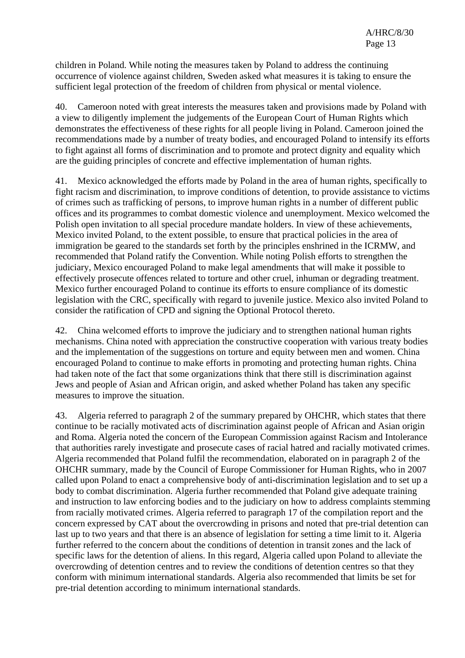children in Poland. While noting the measures taken by Poland to address the continuing occurrence of violence against children, Sweden asked what measures it is taking to ensure the sufficient legal protection of the freedom of children from physical or mental violence.

40. Cameroon noted with great interests the measures taken and provisions made by Poland with a view to diligently implement the judgements of the European Court of Human Rights which demonstrates the effectiveness of these rights for all people living in Poland. Cameroon joined the recommendations made by a number of treaty bodies, and encouraged Poland to intensify its efforts to fight against all forms of discrimination and to promote and protect dignity and equality which are the guiding principles of concrete and effective implementation of human rights.

41. Mexico acknowledged the efforts made by Poland in the area of human rights, specifically to fight racism and discrimination, to improve conditions of detention, to provide assistance to victims of crimes such as trafficking of persons, to improve human rights in a number of different public offices and its programmes to combat domestic violence and unemployment. Mexico welcomed the Polish open invitation to all special procedure mandate holders. In view of these achievements, Mexico invited Poland, to the extent possible, to ensure that practical policies in the area of immigration be geared to the standards set forth by the principles enshrined in the ICRMW, and recommended that Poland ratify the Convention. While noting Polish efforts to strengthen the judiciary, Mexico encouraged Poland to make legal amendments that will make it possible to effectively prosecute offences related to torture and other cruel, inhuman or degrading treatment. Mexico further encouraged Poland to continue its efforts to ensure compliance of its domestic legislation with the CRC, specifically with regard to juvenile justice. Mexico also invited Poland to consider the ratification of CPD and signing the Optional Protocol thereto.

42. China welcomed efforts to improve the judiciary and to strengthen national human rights mechanisms. China noted with appreciation the constructive cooperation with various treaty bodies and the implementation of the suggestions on torture and equity between men and women. China encouraged Poland to continue to make efforts in promoting and protecting human rights. China had taken note of the fact that some organizations think that there still is discrimination against Jews and people of Asian and African origin, and asked whether Poland has taken any specific measures to improve the situation.

43. Algeria referred to paragraph 2 of the summary prepared by OHCHR, which states that there continue to be racially motivated acts of discrimination against people of African and Asian origin and Roma. Algeria noted the concern of the European Commission against Racism and Intolerance that authorities rarely investigate and prosecute cases of racial hatred and racially motivated crimes. Algeria recommended that Poland fulfil the recommendation, elaborated on in paragraph 2 of the OHCHR summary, made by the Council of Europe Commissioner for Human Rights, who in 2007 called upon Poland to enact a comprehensive body of anti-discrimination legislation and to set up a body to combat discrimination. Algeria further recommended that Poland give adequate training and instruction to law enforcing bodies and to the judiciary on how to address complaints stemming from racially motivated crimes. Algeria referred to paragraph 17 of the compilation report and the concern expressed by CAT about the overcrowding in prisons and noted that pre-trial detention can last up to two years and that there is an absence of legislation for setting a time limit to it. Algeria further referred to the concern about the conditions of detention in transit zones and the lack of specific laws for the detention of aliens. In this regard, Algeria called upon Poland to alleviate the overcrowding of detention centres and to review the conditions of detention centres so that they conform with minimum international standards. Algeria also recommended that limits be set for pre-trial detention according to minimum international standards.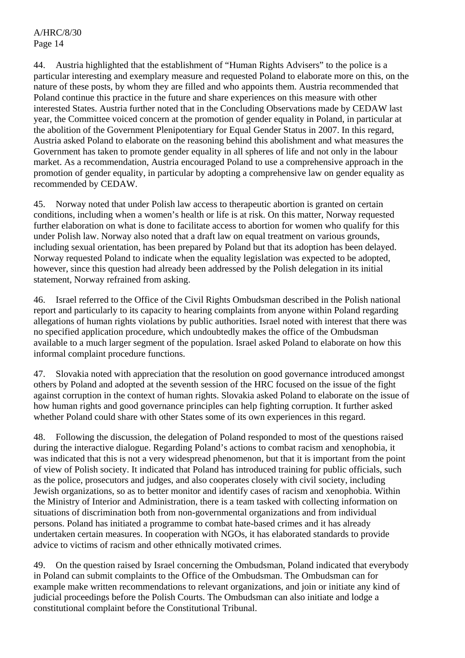44. Austria highlighted that the establishment of "Human Rights Advisers" to the police is a particular interesting and exemplary measure and requested Poland to elaborate more on this, on the nature of these posts, by whom they are filled and who appoints them. Austria recommended that Poland continue this practice in the future and share experiences on this measure with other interested States. Austria further noted that in the Concluding Observations made by CEDAW last year, the Committee voiced concern at the promotion of gender equality in Poland, in particular at the abolition of the Government Plenipotentiary for Equal Gender Status in 2007. In this regard, Austria asked Poland to elaborate on the reasoning behind this abolishment and what measures the Government has taken to promote gender equality in all spheres of life and not only in the labour market. As a recommendation, Austria encouraged Poland to use a comprehensive approach in the promotion of gender equality, in particular by adopting a comprehensive law on gender equality as recommended by CEDAW.

45. Norway noted that under Polish law access to therapeutic abortion is granted on certain conditions, including when a women's health or life is at risk. On this matter, Norway requested further elaboration on what is done to facilitate access to abortion for women who qualify for this under Polish law. Norway also noted that a draft law on equal treatment on various grounds, including sexual orientation, has been prepared by Poland but that its adoption has been delayed. Norway requested Poland to indicate when the equality legislation was expected to be adopted, however, since this question had already been addressed by the Polish delegation in its initial statement, Norway refrained from asking.

46. Israel referred to the Office of the Civil Rights Ombudsman described in the Polish national report and particularly to its capacity to hearing complaints from anyone within Poland regarding allegations of human rights violations by public authorities. Israel noted with interest that there was no specified application procedure, which undoubtedly makes the office of the Ombudsman available to a much larger segment of the population. Israel asked Poland to elaborate on how this informal complaint procedure functions.

47. Slovakia noted with appreciation that the resolution on good governance introduced amongst others by Poland and adopted at the seventh session of the HRC focused on the issue of the fight against corruption in the context of human rights. Slovakia asked Poland to elaborate on the issue of how human rights and good governance principles can help fighting corruption. It further asked whether Poland could share with other States some of its own experiences in this regard.

48. Following the discussion, the delegation of Poland responded to most of the questions raised during the interactive dialogue. Regarding Poland's actions to combat racism and xenophobia, it was indicated that this is not a very widespread phenomenon, but that it is important from the point of view of Polish society. It indicated that Poland has introduced training for public officials, such as the police, prosecutors and judges, and also cooperates closely with civil society, including Jewish organizations, so as to better monitor and identify cases of racism and xenophobia. Within the Ministry of Interior and Administration, there is a team tasked with collecting information on situations of discrimination both from non-governmental organizations and from individual persons. Poland has initiated a programme to combat hate-based crimes and it has already undertaken certain measures. In cooperation with NGOs, it has elaborated standards to provide advice to victims of racism and other ethnically motivated crimes.

49. On the question raised by Israel concerning the Ombudsman, Poland indicated that everybody in Poland can submit complaints to the Office of the Ombudsman. The Ombudsman can for example make written recommendations to relevant organizations, and join or initiate any kind of judicial proceedings before the Polish Courts. The Ombudsman can also initiate and lodge a constitutional complaint before the Constitutional Tribunal.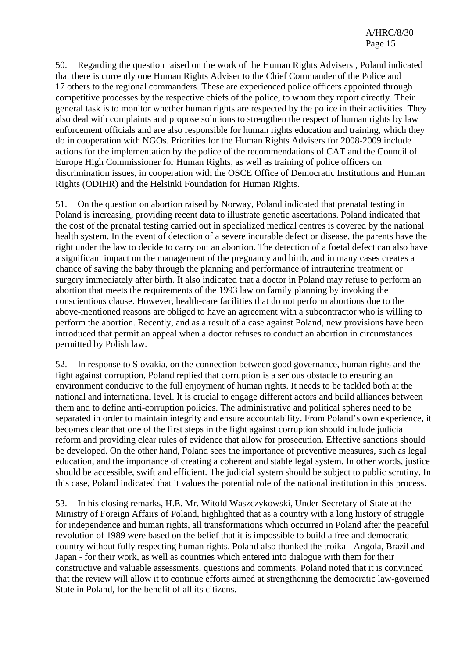50. Regarding the question raised on the work of the Human Rights Advisers , Poland indicated that there is currently one Human Rights Adviser to the Chief Commander of the Police and 17 others to the regional commanders. These are experienced police officers appointed through competitive processes by the respective chiefs of the police, to whom they report directly. Their general task is to monitor whether human rights are respected by the police in their activities. They also deal with complaints and propose solutions to strengthen the respect of human rights by law enforcement officials and are also responsible for human rights education and training, which they do in cooperation with NGOs. Priorities for the Human Rights Advisers for 2008-2009 include actions for the implementation by the police of the recommendations of CAT and the Council of Europe High Commissioner for Human Rights, as well as training of police officers on discrimination issues, in cooperation with the OSCE Office of Democratic Institutions and Human Rights (ODIHR) and the Helsinki Foundation for Human Rights.

51. On the question on abortion raised by Norway, Poland indicated that prenatal testing in Poland is increasing, providing recent data to illustrate genetic ascertations. Poland indicated that the cost of the prenatal testing carried out in specialized medical centres is covered by the national health system. In the event of detection of a severe incurable defect or disease, the parents have the right under the law to decide to carry out an abortion. The detection of a foetal defect can also have a significant impact on the management of the pregnancy and birth, and in many cases creates a chance of saving the baby through the planning and performance of intrauterine treatment or surgery immediately after birth. It also indicated that a doctor in Poland may refuse to perform an abortion that meets the requirements of the 1993 law on family planning by invoking the conscientious clause. However, health-care facilities that do not perform abortions due to the above-mentioned reasons are obliged to have an agreement with a subcontractor who is willing to perform the abortion. Recently, and as a result of a case against Poland, new provisions have been introduced that permit an appeal when a doctor refuses to conduct an abortion in circumstances permitted by Polish law.

52. In response to Slovakia, on the connection between good governance, human rights and the fight against corruption, Poland replied that corruption is a serious obstacle to ensuring an environment conducive to the full enjoyment of human rights. It needs to be tackled both at the national and international level. It is crucial to engage different actors and build alliances between them and to define anti-corruption policies. The administrative and political spheres need to be separated in order to maintain integrity and ensure accountability. From Poland's own experience, it becomes clear that one of the first steps in the fight against corruption should include judicial reform and providing clear rules of evidence that allow for prosecution. Effective sanctions should be developed. On the other hand, Poland sees the importance of preventive measures, such as legal education, and the importance of creating a coherent and stable legal system. In other words, justice should be accessible, swift and efficient. The judicial system should be subject to public scrutiny. In this case, Poland indicated that it values the potential role of the national institution in this process.

53. In his closing remarks, H.E. Mr. Witold Waszczykowski, Under-Secretary of State at the Ministry of Foreign Affairs of Poland, highlighted that as a country with a long history of struggle for independence and human rights, all transformations which occurred in Poland after the peaceful revolution of 1989 were based on the belief that it is impossible to build a free and democratic country without fully respecting human rights. Poland also thanked the troika - Angola, Brazil and Japan - for their work, as well as countries which entered into dialogue with them for their constructive and valuable assessments, questions and comments. Poland noted that it is convinced that the review will allow it to continue efforts aimed at strengthening the democratic law-governed State in Poland, for the benefit of all its citizens.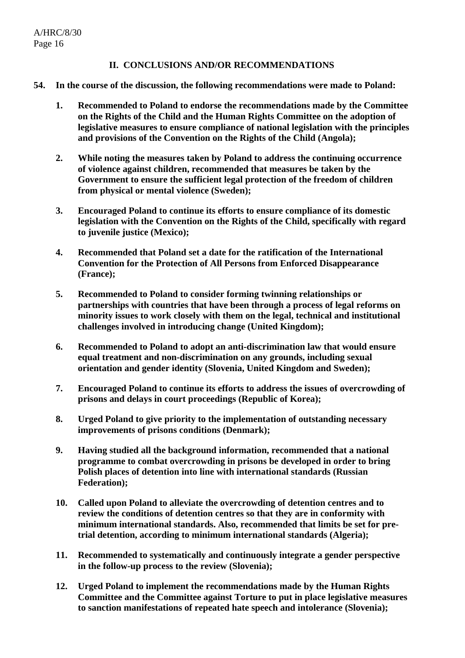### **II. CONCLUSIONS AND/OR RECOMMENDATIONS**

- **54. In the course of the discussion, the following recommendations were made to Poland:** 
	- **1. Recommended to Poland to endorse the recommendations made by the Committee on the Rights of the Child and the Human Rights Committee on the adoption of legislative measures to ensure compliance of national legislation with the principles and provisions of the Convention on the Rights of the Child (Angola);**
	- **2. While noting the measures taken by Poland to address the continuing occurrence of violence against children, recommended that measures be taken by the Government to ensure the sufficient legal protection of the freedom of children from physical or mental violence (Sweden);**
	- **3. Encouraged Poland to continue its efforts to ensure compliance of its domestic legislation with the Convention on the Rights of the Child, specifically with regard to juvenile justice (Mexico);**
	- **4. Recommended that Poland set a date for the ratification of the International Convention for the Protection of All Persons from Enforced Disappearance (France);**
	- **5. Recommended to Poland to consider forming twinning relationships or partnerships with countries that have been through a process of legal reforms on minority issues to work closely with them on the legal, technical and institutional challenges involved in introducing change (United Kingdom);**
	- **6. Recommended to Poland to adopt an anti-discrimination law that would ensure equal treatment and non-discrimination on any grounds, including sexual orientation and gender identity (Slovenia, United Kingdom and Sweden);**
	- **7. Encouraged Poland to continue its efforts to address the issues of overcrowding of prisons and delays in court proceedings (Republic of Korea);**
	- **8. Urged Poland to give priority to the implementation of outstanding necessary improvements of prisons conditions (Denmark);**
	- **9. Having studied all the background information, recommended that a national programme to combat overcrowding in prisons be developed in order to bring Polish places of detention into line with international standards (Russian Federation);**
	- **10. Called upon Poland to alleviate the overcrowding of detention centres and to review the conditions of detention centres so that they are in conformity with minimum international standards. Also, recommended that limits be set for pretrial detention, according to minimum international standards (Algeria);**
	- **11. Recommended to systematically and continuously integrate a gender perspective in the follow-up process to the review (Slovenia);**
	- **12. Urged Poland to implement the recommendations made by the Human Rights Committee and the Committee against Torture to put in place legislative measures to sanction manifestations of repeated hate speech and intolerance (Slovenia);**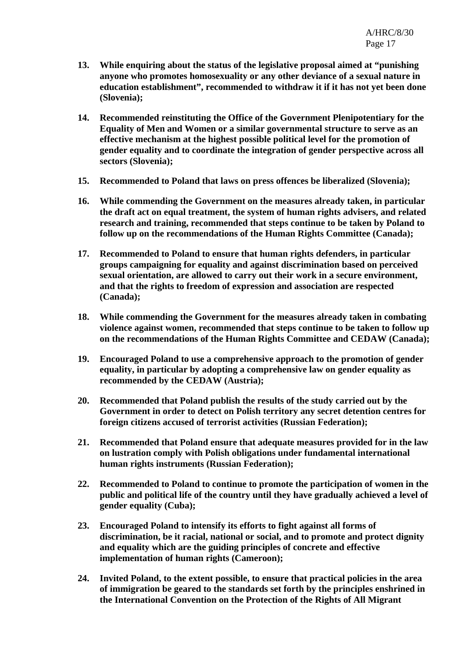- **13. While enquiring about the status of the legislative proposal aimed at "punishing anyone who promotes homosexuality or any other deviance of a sexual nature in education establishment", recommended to withdraw it if it has not yet been done (Slovenia);**
- **14. Recommended reinstituting the Office of the Government Plenipotentiary for the Equality of Men and Women or a similar governmental structure to serve as an effective mechanism at the highest possible political level for the promotion of gender equality and to coordinate the integration of gender perspective across all sectors (Slovenia);**
- **15. Recommended to Poland that laws on press offences be liberalized (Slovenia);**
- **16. While commending the Government on the measures already taken, in particular the draft act on equal treatment, the system of human rights advisers, and related research and training, recommended that steps continue to be taken by Poland to follow up on the recommendations of the Human Rights Committee (Canada);**
- **17. Recommended to Poland to ensure that human rights defenders, in particular groups campaigning for equality and against discrimination based on perceived sexual orientation, are allowed to carry out their work in a secure environment, and that the rights to freedom of expression and association are respected (Canada);**
- **18. While commending the Government for the measures already taken in combating violence against women, recommended that steps continue to be taken to follow up on the recommendations of the Human Rights Committee and CEDAW (Canada);**
- **19. Encouraged Poland to use a comprehensive approach to the promotion of gender equality, in particular by adopting a comprehensive law on gender equality as recommended by the CEDAW (Austria);**
- **20. Recommended that Poland publish the results of the study carried out by the Government in order to detect on Polish territory any secret detention centres for foreign citizens accused of terrorist activities (Russian Federation);**
- **21. Recommended that Poland ensure that adequate measures provided for in the law on lustration comply with Polish obligations under fundamental international human rights instruments (Russian Federation);**
- **22. Recommended to Poland to continue to promote the participation of women in the public and political life of the country until they have gradually achieved a level of gender equality (Cuba);**
- **23. Encouraged Poland to intensify its efforts to fight against all forms of discrimination, be it racial, national or social, and to promote and protect dignity and equality which are the guiding principles of concrete and effective implementation of human rights (Cameroon);**
- **24. Invited Poland, to the extent possible, to ensure that practical policies in the area of immigration be geared to the standards set forth by the principles enshrined in the International Convention on the Protection of the Rights of All Migrant**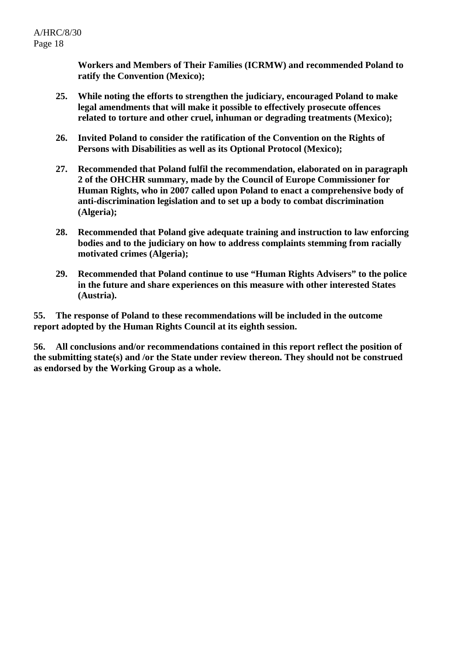**Workers and Members of Their Families (ICRMW) and recommended Poland to ratify the Convention (Mexico);** 

- **25. While noting the efforts to strengthen the judiciary, encouraged Poland to make legal amendments that will make it possible to effectively prosecute offences related to torture and other cruel, inhuman or degrading treatments (Mexico);**
- **26. Invited Poland to consider the ratification of the Convention on the Rights of Persons with Disabilities as well as its Optional Protocol (Mexico);**
- **27. Recommended that Poland fulfil the recommendation, elaborated on in paragraph 2 of the OHCHR summary, made by the Council of Europe Commissioner for Human Rights, who in 2007 called upon Poland to enact a comprehensive body of anti-discrimination legislation and to set up a body to combat discrimination (Algeria);**
- **28. Recommended that Poland give adequate training and instruction to law enforcing bodies and to the judiciary on how to address complaints stemming from racially motivated crimes (Algeria);**
- **29. Recommended that Poland continue to use "Human Rights Advisers" to the police in the future and share experiences on this measure with other interested States (Austria).**

**55. The response of Poland to these recommendations will be included in the outcome report adopted by the Human Rights Council at its eighth session.** 

**56. All conclusions and/or recommendations contained in this report reflect the position of the submitting state(s) and /or the State under review thereon. They should not be construed as endorsed by the Working Group as a whole.**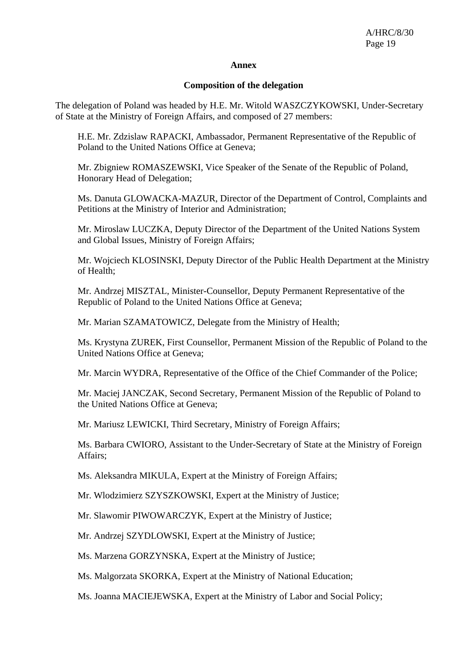#### **Annex**

#### **Composition of the delegation**

The delegation of Poland was headed by H.E. Mr. Witold WASZCZYKOWSKI, Under-Secretary of State at the Ministry of Foreign Affairs, and composed of 27 members:

H.E. Mr. Zdzislaw RAPACKI, Ambassador, Permanent Representative of the Republic of Poland to the United Nations Office at Geneva;

Mr. Zbigniew ROMASZEWSKI, Vice Speaker of the Senate of the Republic of Poland, Honorary Head of Delegation;

Ms. Danuta GLOWACKA-MAZUR, Director of the Department of Control, Complaints and Petitions at the Ministry of Interior and Administration;

Mr. Miroslaw LUCZKA, Deputy Director of the Department of the United Nations System and Global Issues, Ministry of Foreign Affairs;

Mr. Wojciech KLOSINSKI, Deputy Director of the Public Health Department at the Ministry of Health;

Mr. Andrzej MISZTAL, Minister-Counsellor, Deputy Permanent Representative of the Republic of Poland to the United Nations Office at Geneva;

Mr. Marian SZAMATOWICZ, Delegate from the Ministry of Health;

Ms. Krystyna ZUREK, First Counsellor, Permanent Mission of the Republic of Poland to the United Nations Office at Geneva;

Mr. Marcin WYDRA, Representative of the Office of the Chief Commander of the Police;

Mr. Maciej JANCZAK, Second Secretary, Permanent Mission of the Republic of Poland to the United Nations Office at Geneva;

Mr. Mariusz LEWICKI, Third Secretary, Ministry of Foreign Affairs;

Ms. Barbara CWIORO, Assistant to the Under-Secretary of State at the Ministry of Foreign Affairs;

Ms. Aleksandra MIKULA, Expert at the Ministry of Foreign Affairs;

Mr. Wlodzimierz SZYSZKOWSKI, Expert at the Ministry of Justice;

Mr. Slawomir PIWOWARCZYK, Expert at the Ministry of Justice;

Mr. Andrzej SZYDLOWSKI, Expert at the Ministry of Justice;

Ms. Marzena GORZYNSKA, Expert at the Ministry of Justice;

Ms. Malgorzata SKORKA, Expert at the Ministry of National Education;

Ms. Joanna MACIEJEWSKA, Expert at the Ministry of Labor and Social Policy;